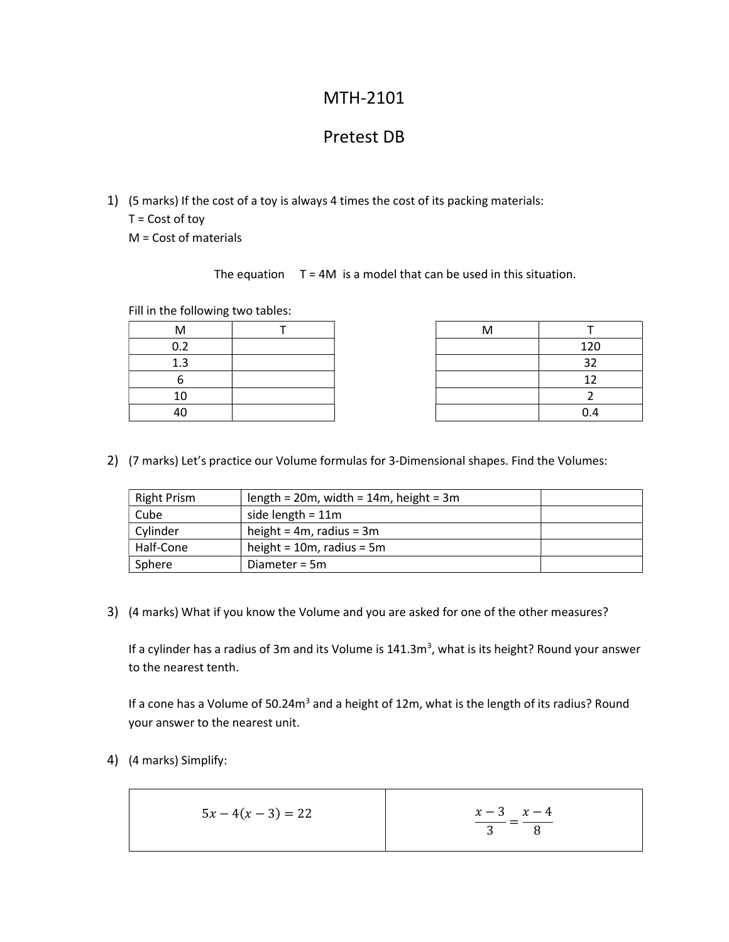## MTH-2101

## Pretest DB

- 1) (5 marks) If the cost of a toy is always 4 times the cost of its packing materials:
	- T = Cost of toy

M = Cost of materials

The equation  $T = 4M$  is a model that can be used in this situation.

Fill in the following two tables:

| M        |  | M |     |
|----------|--|---|-----|
| 0.2      |  |   | 120 |
| 1.3      |  |   | 32  |
|          |  |   | ר ו |
| $1 \cap$ |  |   |     |
| ⊿∩<br>᠇៶ |  |   | 0.4 |

| M        |  |     |
|----------|--|-----|
| ר ר<br>, |  | 120 |
| 1.3      |  | ວາ  |
| h        |  |     |
| 10       |  |     |
| 40       |  | 0.4 |

2) (7 marks) Let's practice our Volume formulas for 3-Dimensional shapes. Find the Volumes:

| <b>Right Prism</b> | length = $20m$ , width = $14m$ , height = $3m$ |  |
|--------------------|------------------------------------------------|--|
| Cube               | side length = $11m$                            |  |
| Cylinder           | height = $4m$ , radius = $3m$                  |  |
| Half-Cone          | height = $10m$ , radius = $5m$                 |  |
| Sphere             | Diameter = 5m                                  |  |

3) (4 marks) What if you know the Volume and you are asked for one of the other measures?

If a cylinder has a radius of 3m and its Volume is  $141.3m<sup>3</sup>$ , what is its height? Round your answer to the nearest tenth.

If a cone has a Volume of 50.24m<sup>3</sup> and a height of 12m, what is the length of its radius? Round your answer to the nearest unit.

4) (4 marks) Simplify:

$$
5x - 4(x - 3) = 22
$$
\n
$$
\frac{x - 3}{3} = \frac{x - 4}{8}
$$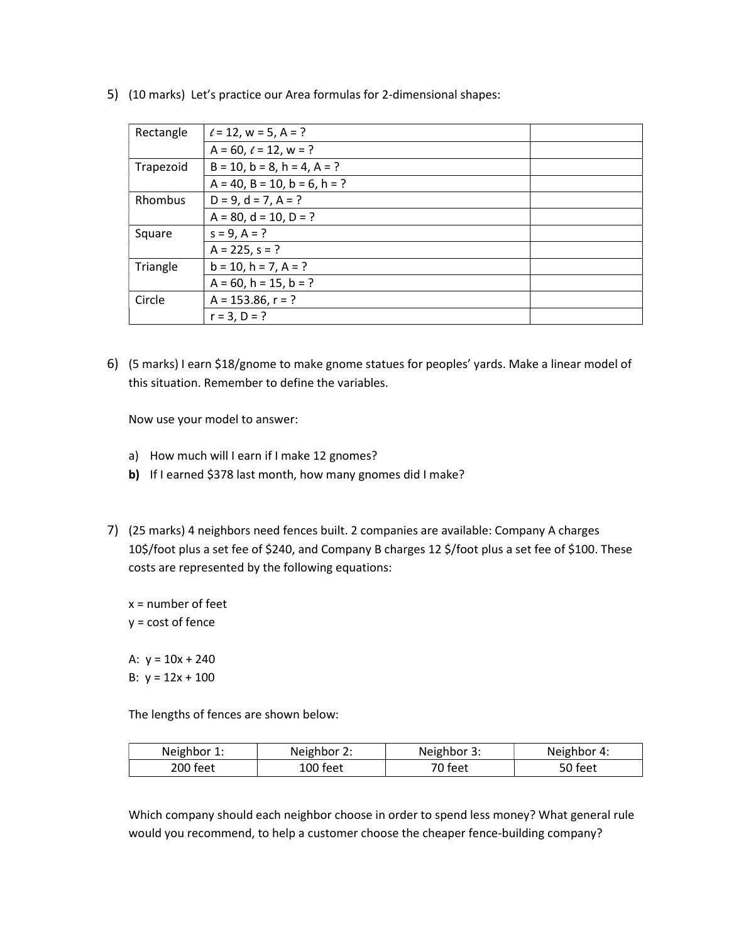| Rectangle | $\ell = 12$ , w = 5, A = ?              |  |
|-----------|-----------------------------------------|--|
|           | $A = 60$ , $\ell = 12$ , $w = ?$        |  |
| Trapezoid | $B = 10$ , $b = 8$ , $h = 4$ , $A = ?$  |  |
|           | $A = 40$ , $B = 10$ , $b = 6$ , $h = ?$ |  |
| Rhombus   | $D = 9$ , $d = 7$ , $A = ?$             |  |
|           | $A = 80$ , $d = 10$ , $D = ?$           |  |
| Square    | $s = 9, A = ?$                          |  |
|           | $A = 225, s = ?$                        |  |
| Triangle  | $b = 10$ , $h = 7$ , $A = ?$            |  |
|           | $A = 60$ , h = 15, b = ?                |  |
| Circle    | $A = 153.86, r = ?$                     |  |
|           | $r = 3, D = ?$                          |  |
|           |                                         |  |

5) (10 marks) Let's practice our Area formulas for 2-dimensional shapes:

6) (5 marks) I earn \$18/gnome to make gnome statues for peoples' yards. Make a linear model of this situation. Remember to define the variables.

Now use your model to answer:

- a) How much will I earn if I make 12 gnomes?
- b) If I earned \$378 last month, how many gnomes did I make?
- 7) (25 marks) 4 neighbors need fences built. 2 companies are available: Company A charges 10\$/foot plus a set fee of \$240, and Company B charges 12 \$/foot plus a set fee of \$100. These costs are represented by the following equations:
	- $x =$  number of feet y = cost of fence

A:  $y = 10x + 240$ B:  $y = 12x + 100$ 

The lengths of fences are shown below:

| Neighbor 1: | Neighbor 2: | Neighbor 3: | Neighbor 4: |
|-------------|-------------|-------------|-------------|
| 200 feet    | ۔00 feet    | ె౧ feet     | 50 feet     |

Which company should each neighbor choose in order to spend less money? What general rule would you recommend, to help a customer choose the cheaper fence-building company?